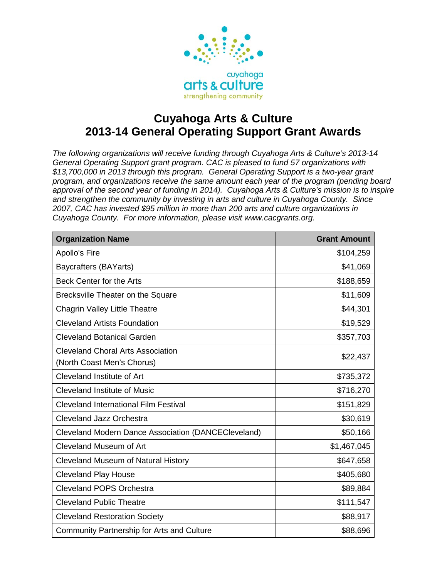

## **Cuyahoga Arts & Culture 2013-14 General Operating Support Grant Awards**

*The following organizations will receive funding through Cuyahoga Arts & Culture's 2013-14 General Operating Support grant program. CAC is pleased to fund 57 organizations with \$13,700,000 in 2013 through this program. General Operating Support is a two-year grant program, and organizations receive the same amount each year of the program (pending board approval of the second year of funding in 2014). Cuyahoga Arts & Culture's mission is to inspire and strengthen the community by investing in arts and culture in Cuyahoga County. Since 2007, CAC has invested \$95 million in more than 200 arts and culture organizations in Cuyahoga County. For more information, please visit www.cacgrants.org.*

| <b>Organization Name</b>                                               | <b>Grant Amount</b> |
|------------------------------------------------------------------------|---------------------|
| Apollo's Fire                                                          | \$104,259           |
| Baycrafters (BAYarts)                                                  | \$41,069            |
| Beck Center for the Arts                                               | \$188,659           |
| Brecksville Theater on the Square                                      | \$11,609            |
| <b>Chagrin Valley Little Theatre</b>                                   | \$44,301            |
| <b>Cleveland Artists Foundation</b>                                    | \$19,529            |
| <b>Cleveland Botanical Garden</b>                                      | \$357,703           |
| <b>Cleveland Choral Arts Association</b><br>(North Coast Men's Chorus) | \$22,437            |
| Cleveland Institute of Art                                             | \$735,372           |
| <b>Cleveland Institute of Music</b>                                    | \$716,270           |
| <b>Cleveland International Film Festival</b>                           | \$151,829           |
| <b>Cleveland Jazz Orchestra</b>                                        | \$30,619            |
| <b>Cleveland Modern Dance Association (DANCECleveland)</b>             | \$50,166            |
| Cleveland Museum of Art                                                | \$1,467,045         |
| <b>Cleveland Museum of Natural History</b>                             | \$647,658           |
| <b>Cleveland Play House</b>                                            | \$405,680           |
| <b>Cleveland POPS Orchestra</b>                                        | \$89,884            |
| <b>Cleveland Public Theatre</b>                                        | \$111,547           |
| <b>Cleveland Restoration Society</b>                                   | \$88,917            |
| <b>Community Partnership for Arts and Culture</b>                      | \$88,696            |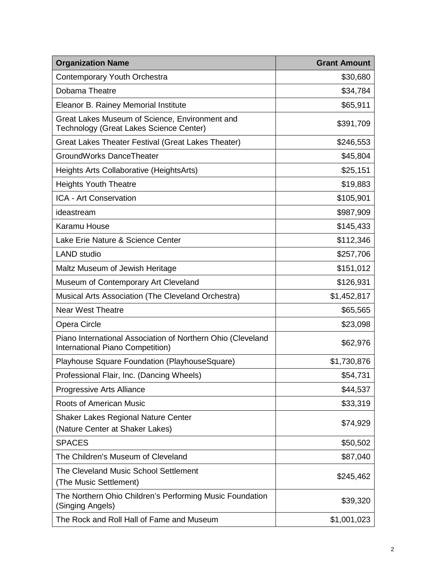| <b>Organization Name</b>                                                                        | <b>Grant Amount</b> |
|-------------------------------------------------------------------------------------------------|---------------------|
| <b>Contemporary Youth Orchestra</b>                                                             | \$30,680            |
| Dobama Theatre                                                                                  | \$34,784            |
| Eleanor B. Rainey Memorial Institute                                                            | \$65,911            |
| Great Lakes Museum of Science, Environment and<br>Technology (Great Lakes Science Center)       | \$391,709           |
| Great Lakes Theater Festival (Great Lakes Theater)                                              | \$246,553           |
| GroundWorks DanceTheater                                                                        | \$45,804            |
| Heights Arts Collaborative (HeightsArts)                                                        | \$25,151            |
| <b>Heights Youth Theatre</b>                                                                    | \$19,883            |
| ICA - Art Conservation                                                                          | \$105,901           |
| ideastream                                                                                      | \$987,909           |
| Karamu House                                                                                    | \$145,433           |
| Lake Erie Nature & Science Center                                                               | \$112,346           |
| <b>LAND</b> studio                                                                              | \$257,706           |
| Maltz Museum of Jewish Heritage                                                                 | \$151,012           |
| Museum of Contemporary Art Cleveland                                                            | \$126,931           |
| Musical Arts Association (The Cleveland Orchestra)                                              | \$1,452,817         |
| <b>Near West Theatre</b>                                                                        | \$65,565            |
| Opera Circle                                                                                    | \$23,098            |
| Piano International Association of Northern Ohio (Cleveland<br>International Piano Competition) | \$62,976            |
| Playhouse Square Foundation (PlayhouseSquare)                                                   | \$1,730,876         |
| Professional Flair, Inc. (Dancing Wheels)                                                       | \$54,731            |
| Progressive Arts Alliance                                                                       | \$44,537            |
| <b>Roots of American Music</b>                                                                  | \$33,319            |
| <b>Shaker Lakes Regional Nature Center</b><br>(Nature Center at Shaker Lakes)                   | \$74,929            |
| <b>SPACES</b>                                                                                   | \$50,502            |
| The Children's Museum of Cleveland                                                              | \$87,040            |
| The Cleveland Music School Settlement<br>(The Music Settlement)                                 | \$245,462           |
| The Northern Ohio Children's Performing Music Foundation<br>(Singing Angels)                    | \$39,320            |
| The Rock and Roll Hall of Fame and Museum                                                       | \$1,001,023         |